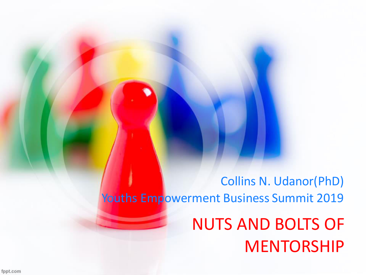NUTS AND BOLTS OF MENTORSHIP Collins N. Udanor(PhD) Youths Empowerment Business Summit 2019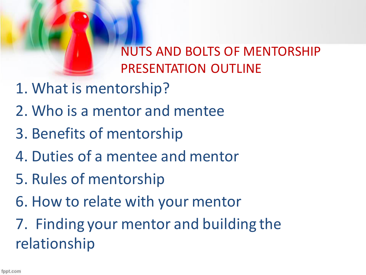

NUTS AND BOLTS OF MENTORSHIP PRESENTATION OUTLINE

- 1. What is mentorship?
- 2. Who is a mentor and mentee
- 3. Benefits of mentorship
- 4. Duties of a mentee and mentor
- 5. Rules of mentorship
- 6. How to relate with your mentor
- 7. Finding your mentor and building the relationship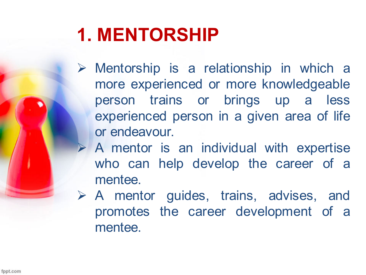## **1. MENTORSHIP**

- $\triangleright$  Mentorship is a relationship in which a more experienced or more knowledgeable person trains or brings up a less experienced person in a given area of life or endeavour.
- A mentor is an individual with expertise who can help develop the career of a mentee.
- A mentor guides, trains, advises, and promotes the career development of a mentee.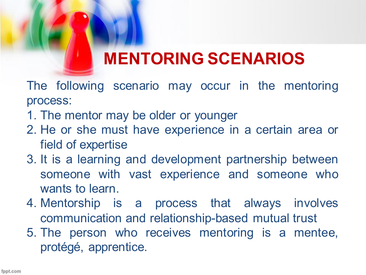## **MENTORING SCENARIOS**

The following scenario may occur in the mentoring process:

- 1. The mentor may be older or younger
- 2. He or she must have experience in a certain area or field of expertise
- 3. It is a learning and development partnership between someone with vast experience and someone who wants to learn.
- 4. Mentorship is a process that always involves communication and relationship-based mutual trust
- 5. The person who receives mentoring is a mentee, protégé, apprentice.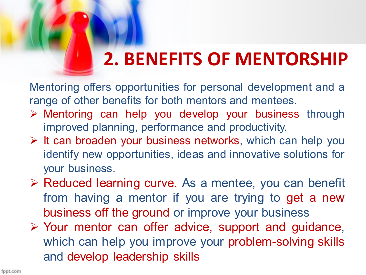## **2. BENEFITS OF MENTORSHIP**

Mentoring offers opportunities for personal development and a range of other benefits for both mentors and mentees.

- Mentoring can help you develop your business through improved planning, performance and productivity.
- $\triangleright$  It can broaden your business networks, which can help you identify new opportunities, ideas and innovative solutions for your business.
- ▶ Reduced learning curve. As a mentee, you can benefit from having a mentor if you are trying to get a new business off the ground or improve your business
- Your mentor can offer advice, support and guidance, which can help you improve your problem-solving skills and develop leadership skills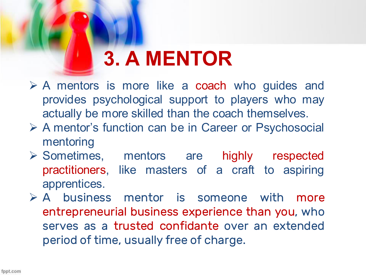# **3. A MENTOR**

- $\triangleright$  A mentors is more like a coach who guides and provides psychological support to players who may actually be more skilled than the coach themselves.
- A mentor's function can be in Career or Psychosocial mentoring
- Sometimes, mentors are highly respected practitioners, like masters of a craft to aspiring apprentices.
- $\triangleright$  A business mentor is someone with more entrepreneurial business experience than you, who serves as a trusted confidante over an extended period of time, usually free of charge.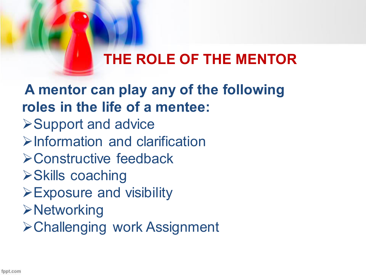## **THE ROLE OF THE MENTOR**

**A mentor can play any of the following roles in the life of a mentee: ≻Support and advice**  $\triangleright$ Information and clarification Constructive feedback **≻Skills coaching** Exposure and visibility **≻Networking** Challenging work Assignment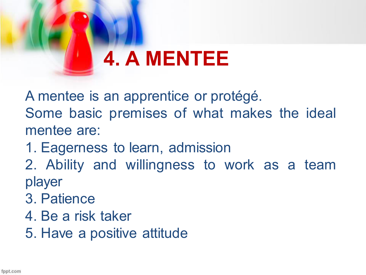# **4. A MENTEE**

A mentee is an apprentice or protégé.

Some basic premises of what makes the ideal mentee are:

- 1. Eagerness to learn, admission
- 2. Ability and willingness to work as a team player
- 3. Patience
- 4. Be a risk taker
- 5. Have a positive attitude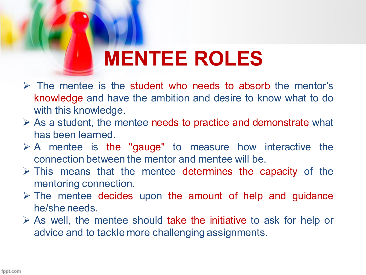# **MENTEE ROLES**

- $\triangleright$  The mentee is the student who needs to absorb the mentor's knowledge and have the ambition and desire to know what to do with this knowledge.
- $\triangleright$  As a student, the mentee needs to practice and demonstrate what has been learned.
- $\triangleright$  A mentee is the "gauge" to measure how interactive the connection between the mentor and mentee will be.
- $\triangleright$  This means that the mentee determines the capacity of the mentoring connection.
- $\triangleright$  The mentee decides upon the amount of help and guidance he/she needs.
- $\triangleright$  As well, the mentee should take the initiative to ask for help or advice and to tackle more challenging assignments.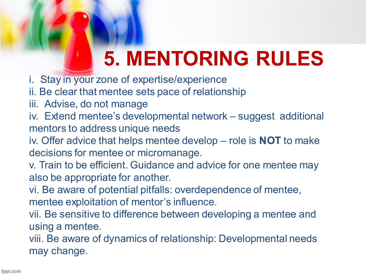# **5. MENTORING RULES**

- i. Stay in your zone of expertise/experience
- ii. Be clear that mentee sets pace of relationship
- iii. Advise, do not manage
- iv. Extend mentee's developmental network suggest additional mentors to address unique needs
- iv. Offer advice that helps mentee develop role is **NOT** to make decisions for mentee or micromanage.
- v. Train to be efficient. Guidance and advice for one mentee may also be appropriate for another.
- vi. Be aware of potential pitfalls: overdependence of mentee, mentee exploitation of mentor's influence.
- vii. Be sensitive to difference between developing a mentee and using a mentee.
- viii. Be aware of dynamics of relationship: Developmental needs may change.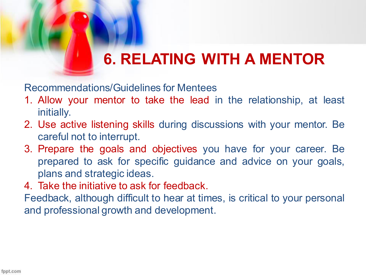## **6. RELATING WITH A MENTOR**

Recommendations/Guidelines for Mentees

- 1. Allow your mentor to take the lead in the relationship, at least initially.
- 2. Use active listening skills during discussions with your mentor. Be careful not to interrupt.
- 3. Prepare the goals and objectives you have for your career. Be prepared to ask for specific guidance and advice on your goals, plans and strategic ideas.
- 4. Take the initiative to ask for feedback.

Feedback, although difficult to hear at times, is critical to your personal and professional growth and development.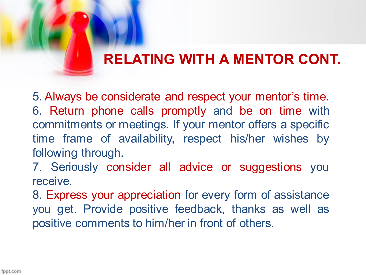### **RELATING WITH A MENTOR CONT.**

5. Always be considerate and respect your mentor's time. 6. Return phone calls promptly and be on time with commitments or meetings. If your mentor offers a specific time frame of availability, respect his/her wishes by following through.

7. Seriously consider all advice or suggestions you receive.

8. Express your appreciation for every form of assistance you get. Provide positive feedback, thanks as well as positive comments to him/her in front of others.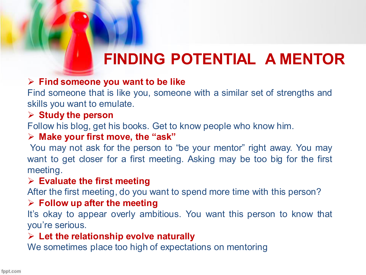## **FINDING POTENTIAL A MENTOR**

#### **Find someone you want to be like**

Find someone that is like you, someone with a similar set of strengths and skills you want to emulate.

#### **Study the person**

Follow his blog, get his books. Get to know people who know him.

#### **Make your first move, the "ask"**

 You may not ask for the person to "be your mentor" right away. You may want to get closer for a first meeting. Asking may be too big for the first meeting.

#### **Evaluate the first meeting**

After the first meeting, do you want to spend more time with this person?

#### **Follow up after the meeting**

It's okay to appear overly ambitious. You want this person to know that you're serious.

#### **Let the relationship evolve naturally**

We sometimes place too high of expectations on mentoring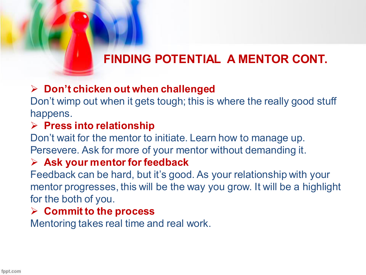### **FINDING POTENTIAL A MENTOR CONT.**

### **Don't chicken out when challenged**

Don't wimp out when it gets tough; this is where the really good stuff happens.

### **Press into relationship**

Don't wait for the mentor to initiate. Learn how to manage up. Persevere. Ask for more of your mentor without demanding it.

### **Ask your mentor for feedback**

Feedback can be hard, but it's good. As your relationship with your mentor progresses, this will be the way you grow. It will be a highlight for the both of you.

### **Commit to the process**

Mentoring takes real time and real work.